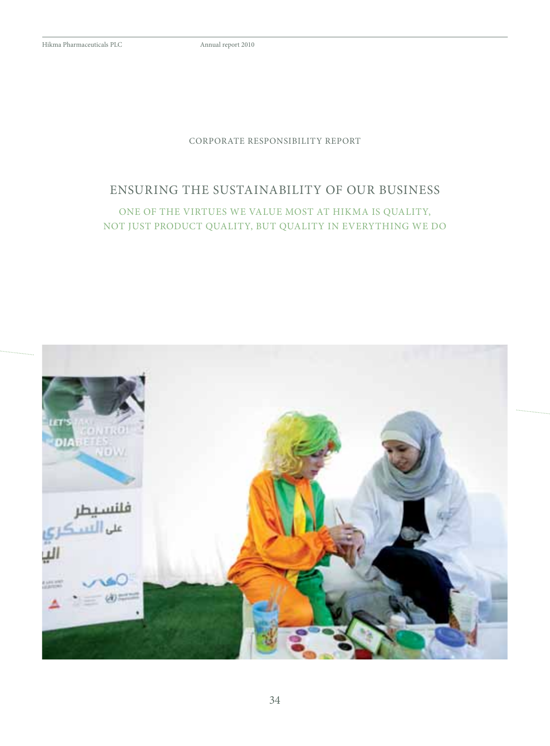## Corporate responsibility report

## ensuring the sustainability of our business

One of the virtues we value most at Hikma is quality, not just product quality, but quality in everything we do

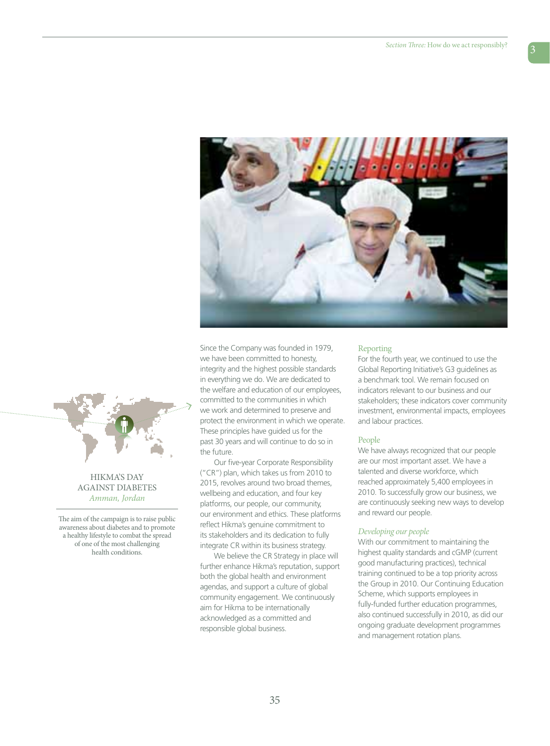

## Hikma's day against diabetes *Amman, Jordan*

The aim of the campaign is to raise public awareness about diabetes and to promote a healthy lifestyle to combat the spread of one of the most challenging health conditions.

Since the Company was founded in 1979, we have been committed to honesty, integrity and the highest possible standards in everything we do. We are dedicated to the welfare and education of our employees, committed to the communities in which we work and determined to preserve and protect the environment in which we operate. These principles have guided us for the past 30 years and will continue to do so in the future.

Our five-year Corporate Responsibility ("CR") plan, which takes us from 2010 to 2015, revolves around two broad themes, wellbeing and education, and four key platforms, our people, our community, our environment and ethics. These platforms reflect Hikma's genuine commitment to its stakeholders and its dedication to fully integrate CR within its business strategy.

We believe the CR Strategy in place will further enhance Hikma's reputation, support both the global health and environment agendas, and support a culture of global community engagement. We continuously aim for Hikma to be internationally acknowledged as a committed and responsible global business.

## Reporting

For the fourth year, we continued to use the Global Reporting Initiative's G3 guidelines as a benchmark tool. We remain focused on indicators relevant to our business and our stakeholders; these indicators cover community investment, environmental impacts, employees and labour practices.

## People

We have always recognized that our people are our most important asset. We have a talented and diverse workforce, which reached approximately 5,400 employees in 2010. To successfully grow our business, we are continuously seeking new ways to develop and reward our people.

## *Developing our people*

With our commitment to maintaining the highest quality standards and cGMP (current good manufacturing practices), technical training continued to be a top priority across the Group in 2010. Our Continuing Education Scheme, which supports employees in fully-funded further education programmes, also continued successfully in 2010, as did our ongoing graduate development programmes and management rotation plans.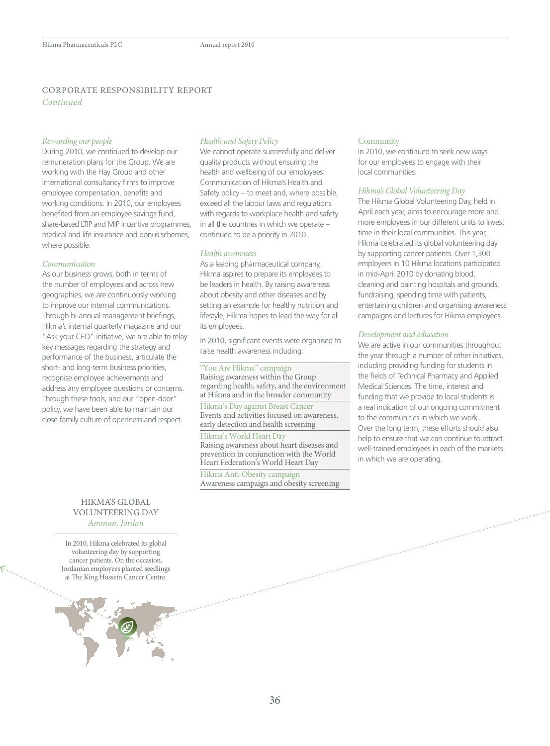## corporate responsibility report *Continued*

## *Rewarding our people*

During 2010, we continued to develop our remuneration plans for the Group. We are working with the Hay Group and other international consultancy firms to improve employee compensation, benefits and working conditions. In 2010, our employees benefited from an employee savings fund, share-based LTIP and MIP incentive programmes, medical and life insurance and bonus schemes, where possible.

## *Communication*

As our business grows, both in terms of the number of employees and across new geographies, we are continuously working to improve our internal communications. Through bi-annual management briefings, Hikma's internal quarterly magazine and our "Ask your CEO" initiative, we are able to relay key messages regarding the strategy and performance of the business, articulate the short- and long-term business priorities, recognise employee achievements and address any employee questions or concerns. Through these tools, and our "open-door" policy, we have been able to maintain our close family culture of openness and respect.

## *Health and Safety Policy*

We cannot operate successfully and deliver quality products without ensuring the health and wellbeing of our employees. Communication of Hikma's Health and Safety policy – to meet and, where possible, exceed all the labour laws and regulations with regards to workplace health and safety in all the countries in which we operate – continued to be a priority in 2010.

#### *Health awareness*

As a leading pharmaceutical company, Hikma aspires to prepare its employees to be leaders in health. By raising awareness about obesity and other diseases and by setting an example for healthy nutrition and lifestyle, Hikma hopes to lead the way for all its employees.

In 2010, significant events were organised to raise health awareness including:

#### "You Are Hikma" campaign

Raising awareness within the Group regarding health, safety, and the environment at Hikma and in the broader community

Hikma's Day against Breast Cancer Events and activities focused on awareness, early detection and health screening

## Hikma's World Heart Day

Raising awareness about heart diseases and prevention in conjunction with the World Heart Federation's World Heart Day

Hikma Anti-Obesity campaign Awareness campaign and obesity screening

#### **Community**

In 2010, we continued to seek new ways for our employees to engage with their local communities.

#### *Hikma's Global Volunteering Day*

The Hikma Global Volunteering Day, held in April each year, aims to encourage more and more employees in our different units to invest time in their local communities. This year, Hikma celebrated its global volunteering day by supporting cancer patients. Over 1,300 employees in 10 Hikma locations participated in mid-April 2010 by donating blood, cleaning and painting hospitals and grounds, fundraising, spending time with patients, entertaining children and organising awareness campaigns and lectures for Hikma employees.

## *Development and education*

We are active in our communities throughout the year through a number of other initiatives, including providing funding for students in the fields of Technical Pharmacy and Applied Medical Sciences. The time, interest and funding that we provide to local students is a real indication of our ongoing commitment to the communities in which we work. Over the long term, these efforts should also help to ensure that we can continue to attract well-trained employees in each of the markets in which we are operating.

## Hikma's Global Volunteering day *Amman, Jordan*

In 2010, Hikma celebrated its global volunteering day by supporting cancer patients. On the occasion, Jordanian employees planted seedlings at The King Hussein Cancer Centre.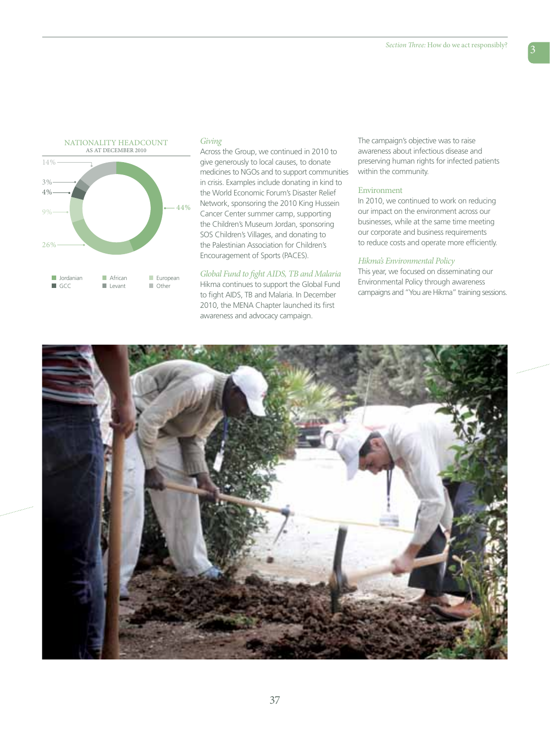

## *Giving*

Across the Group, we continued in 2010 to give generously to local causes, to donate medicines to NGOs and to support communities in crisis. Examples include donating in kind to the World Economic Forum's Disaster Relief Network, sponsoring the 2010 King Hussein Cancer Center summer camp, supporting the Children's Museum Jordan, sponsoring SOS Children's Villages, and donating to the Palestinian Association for Children's Encouragement of Sports (PACES).

## *Global Fund to fight AIDS, TB and Malaria*

Hikma continues to support the Global Fund to fight AIDS, TB and Malaria. In December 2010, the MENA Chapter launched its first awareness and advocacy campaign.

The campaign's objective was to raise awareness about infectious disease and preserving human rights for infected patients within the community.

## Environment

In 2010, we continued to work on reducing our impact on the environment across our businesses, while at the same time meeting our corporate and business requirements to reduce costs and operate more efficiently.

## *Hikma's Environmental Policy*

This year, we focused on disseminating our Environmental Policy through awareness campaigns and "You are Hikma" training sessions.

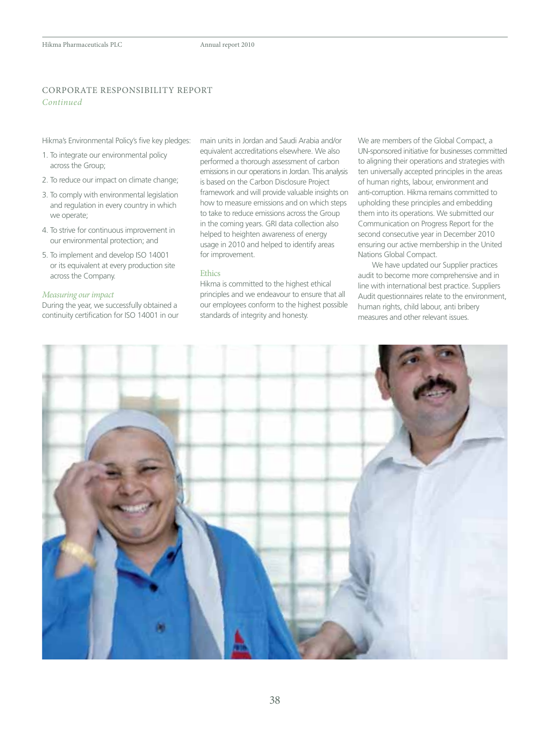## corporate responsibility report *Continued*

Hikma's Environmental Policy's five key pledges:

- 1. To integrate our environmental policy across the Group;
- 2. To reduce our impact on climate change;
- 3. To comply with environmental legislation and regulation in every country in which we operate;
- 4. To strive for continuous improvement in our environmental protection; and
- 5. To implement and develop ISO 14001 or its equivalent at every production site across the Company.

## *Measuring our impact*

During the year, we successfully obtained a continuity certification for ISO 14001 in our main units in Jordan and Saudi Arabia and/or equivalent accreditations elsewhere. We also performed a thorough assessment of carbon emissions in our operations in Jordan. This analysis is based on the Carbon Disclosure Project framework and will provide valuable insights on how to measure emissions and on which steps to take to reduce emissions across the Group in the coming years. GRI data collection also helped to heighten awareness of energy usage in 2010 and helped to identify areas for improvement.

## Ethics

Hikma is committed to the highest ethical principles and we endeavour to ensure that all our employees conform to the highest possible standards of integrity and honesty.

We are members of the Global Compact, a UN-sponsored initiative for businesses committed to aligning their operations and strategies with ten universally accepted principles in the areas of human rights, labour, environment and anti-corruption. Hikma remains committed to upholding these principles and embedding them into its operations. We submitted our Communication on Progress Report for the second consecutive year in December 2010 ensuring our active membership in the United Nations Global Compact.

We have updated our Supplier practices audit to become more comprehensive and in line with international best practice. Suppliers Audit questionnaires relate to the environment, human rights, child labour, anti bribery measures and other relevant issues.